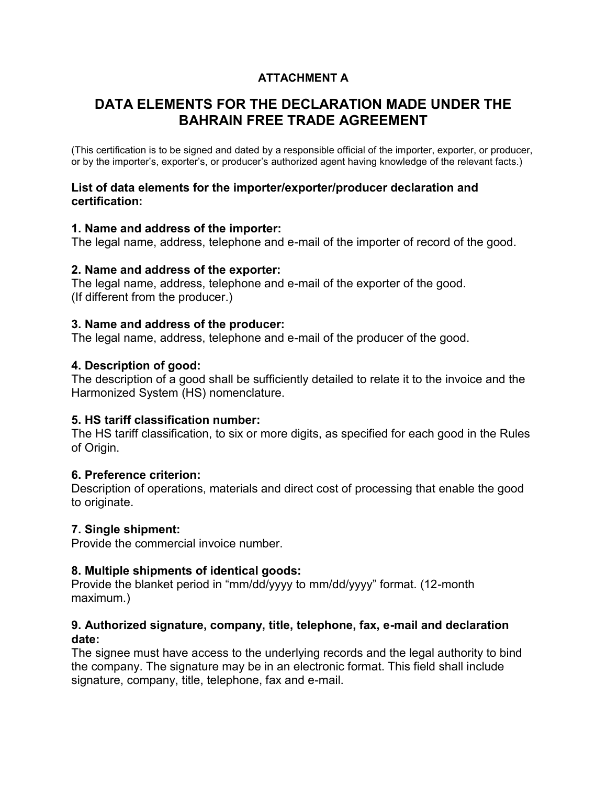## **ATTACHMENT A**

# **DATA ELEMENTS FOR THE DECLARATION MADE UNDER THE BAHRAIN FREE TRADE AGREEMENT**

(This certification is to be signed and dated by a responsible official of the importer, exporter, or producer, or by the importer's, exporter's, or producer's authorized agent having knowledge of the relevant facts.)

#### **List of data elements for the importer/exporter/producer declaration and certification:**

#### **1. Name and address of the importer:**

The legal name, address, telephone and e-mail of the importer of record of the good.

### **2. Name and address of the exporter:**

The legal name, address, telephone and e-mail of the exporter of the good. (If different from the producer.)

### **3. Name and address of the producer:**

The legal name, address, telephone and e-mail of the producer of the good.

## **4. Description of good:**

The description of a good shall be sufficiently detailed to relate it to the invoice and the Harmonized System (HS) nomenclature.

## **5. HS tariff classification number:**

The HS tariff classification, to six or more digits, as specified for each good in the Rules of Origin.

## **6. Preference criterion:**

Description of operations, materials and direct cost of processing that enable the good to originate.

## **7. Single shipment:**

Provide the commercial invoice number.

## **8. Multiple shipments of identical goods:**

Provide the blanket period in "mm/dd/yyyy to mm/dd/yyyy" format. (12-month maximum.)

### **9. Authorized signature, company, title, telephone, fax, e-mail and declaration date:**

The signee must have access to the underlying records and the legal authority to bind the company. The signature may be in an electronic format. This field shall include signature, company, title, telephone, fax and e-mail.